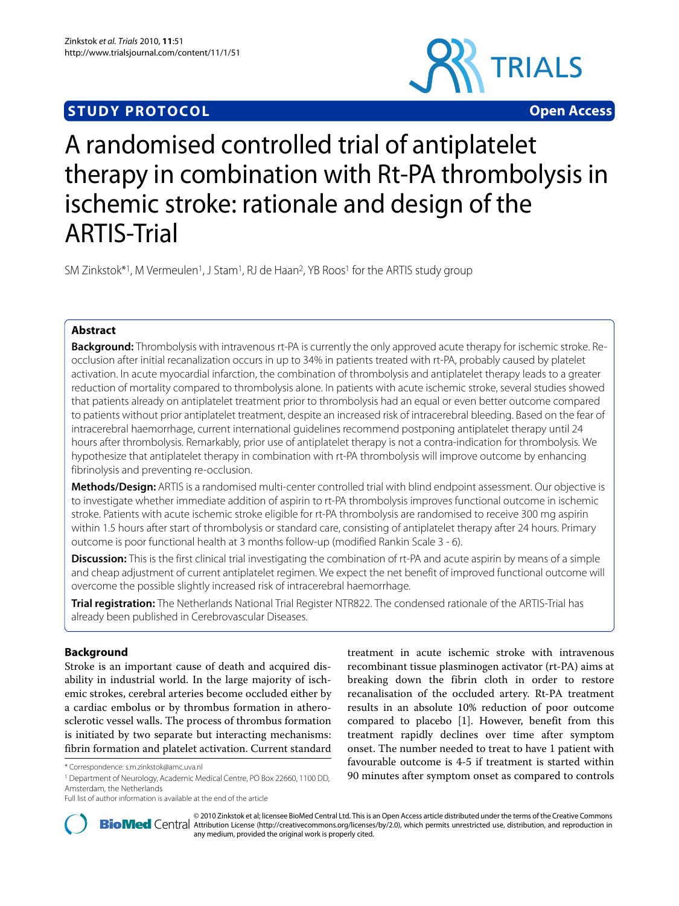# **STUDY PROTOCOL Open Access**



# A randomised controlled trial of antiplatelet therapy in combination with Rt-PA thrombolysis in ischemic stroke: rationale and design of the ARTIS-Trial

SM Zinkstok<sup>\*1</sup>, M Vermeulen<sup>1</sup>, J Stam<sup>1</sup>, RJ de Haan<sup>2</sup>, YB Roos<sup>1</sup> for the ARTIS study group

# **Abstract**

**Background:** Thrombolysis with intravenous rt-PA is currently the only approved acute therapy for ischemic stroke. Reocclusion after initial recanalization occurs in up to 34% in patients treated with rt-PA, probably caused by platelet activation. In acute myocardial infarction, the combination of thrombolysis and antiplatelet therapy leads to a greater reduction of mortality compared to thrombolysis alone. In patients with acute ischemic stroke, several studies showed that patients already on antiplatelet treatment prior to thrombolysis had an equal or even better outcome compared to patients without prior antiplatelet treatment, despite an increased risk of intracerebral bleeding. Based on the fear of intracerebral haemorrhage, current international guidelines recommend postponing antiplatelet therapy until 24 hours after thrombolysis. Remarkably, prior use of antiplatelet therapy is not a contra-indication for thrombolysis. We hypothesize that antiplatelet therapy in combination with rt-PA thrombolysis will improve outcome by enhancing fibrinolysis and preventing re-occlusion.

**Methods/Design:** ARTIS is a randomised multi-center controlled trial with blind endpoint assessment. Our objective is to investigate whether immediate addition of aspirin to rt-PA thrombolysis improves functional outcome in ischemic stroke. Patients with acute ischemic stroke eligible for rt-PA thrombolysis are randomised to receive 300 mg aspirin within 1.5 hours after start of thrombolysis or standard care, consisting of antiplatelet therapy after 24 hours. Primary outcome is poor functional health at 3 months follow-up (modified Rankin Scale 3 - 6).

**Discussion:** This is the first clinical trial investigating the combination of rt-PA and acute aspirin by means of a simple and cheap adjustment of current antiplatelet regimen. We expect the net benefit of improved functional outcome will overcome the possible slightly increased risk of intracerebral haemorrhage.

**Trial registration:** The Netherlands National Trial Register NTR822. The condensed rationale of the ARTIS-Trial has already been published in Cerebrovascular Diseases.

# **Background**

Stroke is an important cause of death and acquired disability in industrial world. In the large majority of ischemic strokes, cerebral arteries become occluded either by a cardiac embolus or by thrombus formation in atherosclerotic vessel walls. The process of thrombus formation is initiated by two separate but interacting mechanisms: fibrin formation and platelet activation. Current standard

treatment in acute ischemic stroke with intravenous recombinant tissue plasminogen activator (rt-PA) aims at breaking down the fibrin cloth in order to restore recanalisation of the occluded artery. Rt-PA treatment results in an absolute 10% reduction of poor outcome compared to placebo [[1\]](#page-6-0). However, benefit from this treatment rapidly declines over time after symptom onset. The number needed to treat to have 1 patient with favourable outcome is 4-5 if treatment is started within 90 minutes after symptom onset as compared to controls



2010 Zinkstok et al; licensee [BioMed](http://www.biomedcentral.com/) Central Ltd. This is an Open Access article distributed under the terms of the Creative Commons (http://creativecommons.org/licenses/by/2.0), which permits unrestricted use, distributio any medium, provided the original work is properly cited.

<sup>\*</sup> Correspondence: s.m.zinkstok@amc.uva.nl

<sup>1</sup> Department of Neurology, Academic Medical Centre, PO Box 22660, 1100 DD, Amsterdam, the Netherlands

Full list of author information is available at the end of the article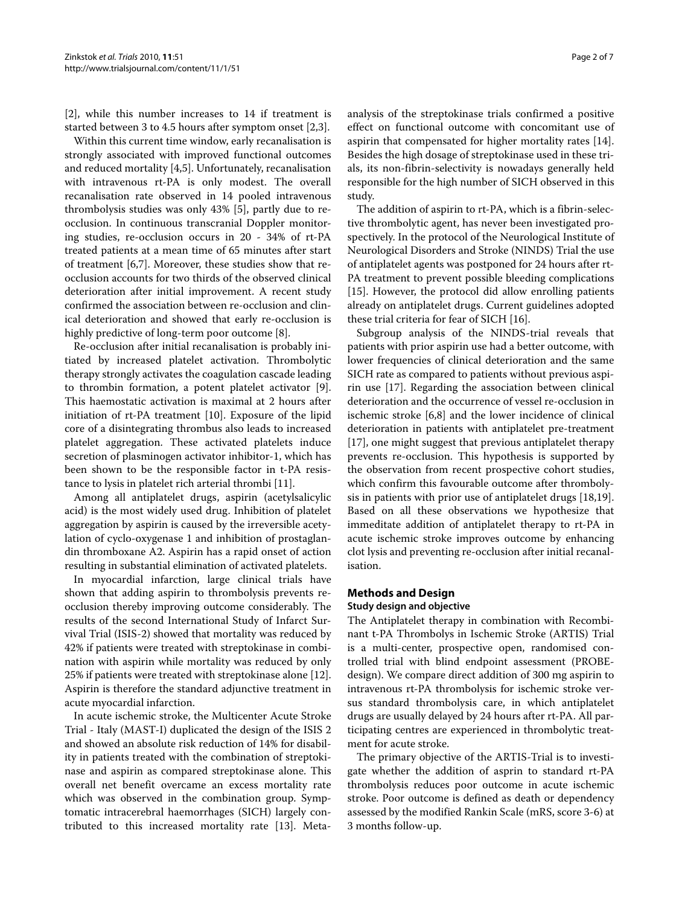[[2\]](#page-6-1), while this number increases to 14 if treatment is started between 3 to 4.5 hours after symptom onset [[2,](#page-6-1)[3\]](#page-6-2).

Within this current time window, early recanalisation is strongly associated with improved functional outcomes and reduced mortality [[4,](#page-6-3)[5\]](#page-6-4). Unfortunately, recanalisation with intravenous rt-PA is only modest. The overall recanalisation rate observed in 14 pooled intravenous thrombolysis studies was only 43% [\[5\]](#page-6-4), partly due to reocclusion. In continuous transcranial Doppler monitoring studies, re-occlusion occurs in 20 - 34% of rt-PA treated patients at a mean time of 65 minutes after start of treatment [\[6](#page-6-5)[,7](#page-6-6)]. Moreover, these studies show that reocclusion accounts for two thirds of the observed clinical deterioration after initial improvement. A recent study confirmed the association between re-occlusion and clinical deterioration and showed that early re-occlusion is highly predictive of long-term poor outcome [\[8](#page-6-7)].

Re-occlusion after initial recanalisation is probably initiated by increased platelet activation. Thrombolytic therapy strongly activates the coagulation cascade leading to thrombin formation, a potent platelet activator [\[9](#page-6-8)]. This haemostatic activation is maximal at 2 hours after initiation of rt-PA treatment [[10\]](#page-6-9). Exposure of the lipid core of a disintegrating thrombus also leads to increased platelet aggregation. These activated platelets induce secretion of plasminogen activator inhibitor-1, which has been shown to be the responsible factor in t-PA resistance to lysis in platelet rich arterial thrombi [\[11](#page-6-10)].

Among all antiplatelet drugs, aspirin (acetylsalicylic acid) is the most widely used drug. Inhibition of platelet aggregation by aspirin is caused by the irreversible acetylation of cyclo-oxygenase 1 and inhibition of prostaglandin thromboxane A2. Aspirin has a rapid onset of action resulting in substantial elimination of activated platelets.

In myocardial infarction, large clinical trials have shown that adding aspirin to thrombolysis prevents reocclusion thereby improving outcome considerably. The results of the second International Study of Infarct Survival Trial (ISIS-2) showed that mortality was reduced by 42% if patients were treated with streptokinase in combination with aspirin while mortality was reduced by only 25% if patients were treated with streptokinase alone [\[12](#page-6-11)]. Aspirin is therefore the standard adjunctive treatment in acute myocardial infarction.

In acute ischemic stroke, the Multicenter Acute Stroke Trial - Italy (MAST-I) duplicated the design of the ISIS 2 and showed an absolute risk reduction of 14% for disability in patients treated with the combination of streptokinase and aspirin as compared streptokinase alone. This overall net benefit overcame an excess mortality rate which was observed in the combination group. Symptomatic intracerebral haemorrhages (SICH) largely contributed to this increased mortality rate [\[13](#page-6-12)]. Meta-

analysis of the streptokinase trials confirmed a positive effect on functional outcome with concomitant use of aspirin that compensated for higher mortality rates [\[14](#page-6-13)]. Besides the high dosage of streptokinase used in these trials, its non-fibrin-selectivity is nowadays generally held responsible for the high number of SICH observed in this study.

The addition of aspirin to rt-PA, which is a fibrin-selective thrombolytic agent, has never been investigated prospectively. In the protocol of the Neurological Institute of Neurological Disorders and Stroke (NINDS) Trial the use of antiplatelet agents was postponed for 24 hours after rt-PA treatment to prevent possible bleeding complications [[15\]](#page-6-14). However, the protocol did allow enrolling patients already on antiplatelet drugs. Current guidelines adopted these trial criteria for fear of SICH [[16\]](#page-6-15).

Subgroup analysis of the NINDS-trial reveals that patients with prior aspirin use had a better outcome, with lower frequencies of clinical deterioration and the same SICH rate as compared to patients without previous aspirin use [[17\]](#page-6-16). Regarding the association between clinical deterioration and the occurrence of vessel re-occlusion in ischemic stroke [[6,](#page-6-5)[8\]](#page-6-7) and the lower incidence of clinical deterioration in patients with antiplatelet pre-treatment [[17\]](#page-6-16), one might suggest that previous antiplatelet therapy prevents re-occlusion. This hypothesis is supported by the observation from recent prospective cohort studies, which confirm this favourable outcome after thrombolysis in patients with prior use of antiplatelet drugs [\[18](#page-6-17)[,19](#page-6-18)]. Based on all these observations we hypothesize that immeditate addition of antiplatelet therapy to rt-PA in acute ischemic stroke improves outcome by enhancing clot lysis and preventing re-occlusion after initial recanalisation.

# **Methods and Design**

#### **Study design and objective**

The Antiplatelet therapy in combination with Recombinant t-PA Thrombolys in Ischemic Stroke (ARTIS) Trial is a multi-center, prospective open, randomised controlled trial with blind endpoint assessment (PROBEdesign). We compare direct addition of 300 mg aspirin to intravenous rt-PA thrombolysis for ischemic stroke versus standard thrombolysis care, in which antiplatelet drugs are usually delayed by 24 hours after rt-PA. All participating centres are experienced in thrombolytic treatment for acute stroke.

The primary objective of the ARTIS-Trial is to investigate whether the addition of asprin to standard rt-PA thrombolysis reduces poor outcome in acute ischemic stroke. Poor outcome is defined as death or dependency assessed by the modified Rankin Scale (mRS, score 3-6) at 3 months follow-up.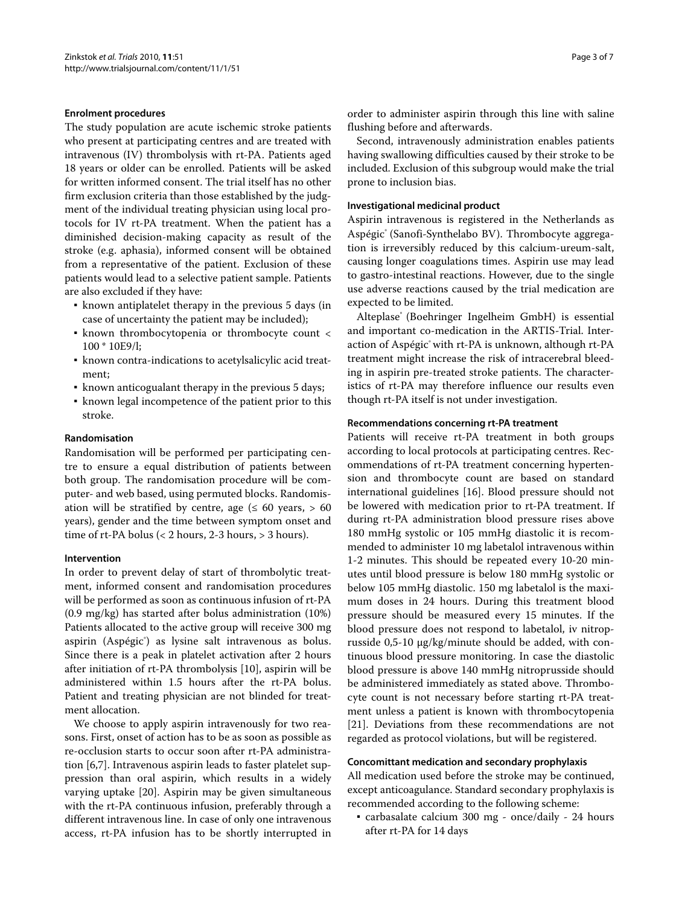# **Enrolment procedures**

The study population are acute ischemic stroke patients who present at participating centres and are treated with intravenous (IV) thrombolysis with rt-PA. Patients aged 18 years or older can be enrolled. Patients will be asked for written informed consent. The trial itself has no other firm exclusion criteria than those established by the judgment of the individual treating physician using local protocols for IV rt-PA treatment. When the patient has a diminished decision-making capacity as result of the stroke (e.g. aphasia), informed consent will be obtained from a representative of the patient. Exclusion of these patients would lead to a selective patient sample. Patients are also excluded if they have:

- known antiplatelet therapy in the previous 5 days (in case of uncertainty the patient may be included);
- known thrombocytopenia or thrombocyte count < 100 \* 10E9/l;
- known contra-indications to acetylsalicylic acid treatment;
- known anticogualant therapy in the previous 5 days;
- known legal incompetence of the patient prior to this stroke.

# **Randomisation**

Randomisation will be performed per participating centre to ensure a equal distribution of patients between both group. The randomisation procedure will be computer- and web based, using permuted blocks. Randomisation will be stratified by centre, age  $( \leq 60 \text{ years}, \geq 60$ years), gender and the time between symptom onset and time of rt-PA bolus  $(< 2$  hours,  $2-3$  hours,  $> 3$  hours).

#### **Intervention**

In order to prevent delay of start of thrombolytic treatment, informed consent and randomisation procedures will be performed as soon as continuous infusion of rt-PA (0.9 mg/kg) has started after bolus administration (10%) Patients allocated to the active group will receive 300 mg aspirin (Aspégic°) as lysine salt intravenous as bolus. Since there is a peak in platelet activation after 2 hours after initiation of rt-PA thrombolysis [\[10\]](#page-6-9), aspirin will be administered within 1.5 hours after the rt-PA bolus. Patient and treating physician are not blinded for treatment allocation.

We choose to apply aspirin intravenously for two reasons. First, onset of action has to be as soon as possible as re-occlusion starts to occur soon after rt-PA administration [[6,](#page-6-5)[7\]](#page-6-6). Intravenous aspirin leads to faster platelet suppression than oral aspirin, which results in a widely varying uptake [[20\]](#page-6-19). Aspirin may be given simultaneous with the rt-PA continuous infusion, preferably through a different intravenous line. In case of only one intravenous access, rt-PA infusion has to be shortly interrupted in order to administer aspirin through this line with saline flushing before and afterwards.

Second, intravenously administration enables patients having swallowing difficulties caused by their stroke to be included. Exclusion of this subgroup would make the trial prone to inclusion bias.

#### **Investigational medicinal product**

Aspirin intravenous is registered in the Netherlands as Aspégic® (Sanofi-Synthelabo BV). Thrombocyte aggregation is irreversibly reduced by this calcium-ureum-salt, causing longer coagulations times. Aspirin use may lead to gastro-intestinal reactions. However, due to the single use adverse reactions caused by the trial medication are expected to be limited.

Alteplase® (Boehringer Ingelheim GmbH) is essential and important co-medication in the ARTIS-Trial. Interaction of Aspégic<sup>®</sup> with rt-PA is unknown, although rt-PA treatment might increase the risk of intracerebral bleeding in aspirin pre-treated stroke patients. The characteristics of rt-PA may therefore influence our results even though rt-PA itself is not under investigation.

# **Recommendations concerning rt-PA treatment**

Patients will receive rt-PA treatment in both groups according to local protocols at participating centres. Recommendations of rt-PA treatment concerning hypertension and thrombocyte count are based on standard international guidelines [\[16\]](#page-6-15). Blood pressure should not be lowered with medication prior to rt-PA treatment. If during rt-PA administration blood pressure rises above 180 mmHg systolic or 105 mmHg diastolic it is recommended to administer 10 mg labetalol intravenous within 1-2 minutes. This should be repeated every 10-20 minutes until blood pressure is below 180 mmHg systolic or below 105 mmHg diastolic. 150 mg labetalol is the maximum doses in 24 hours. During this treatment blood pressure should be measured every 15 minutes. If the blood pressure does not respond to labetalol, iv nitroprusside 0,5-10 μg/kg/minute should be added, with continuous blood pressure monitoring. In case the diastolic blood pressure is above 140 mmHg nitroprusside should be administered immediately as stated above. Thrombocyte count is not necessary before starting rt-PA treatment unless a patient is known with thrombocytopenia [[21\]](#page-6-20). Deviations from these recommendations are not regarded as protocol violations, but will be registered.

#### **Concomittant medication and secondary prophylaxis**

All medication used before the stroke may be continued, except anticoagulance. Standard secondary prophylaxis is recommended according to the following scheme:

▪ carbasalate calcium 300 mg - once/daily - 24 hours after rt-PA for 14 days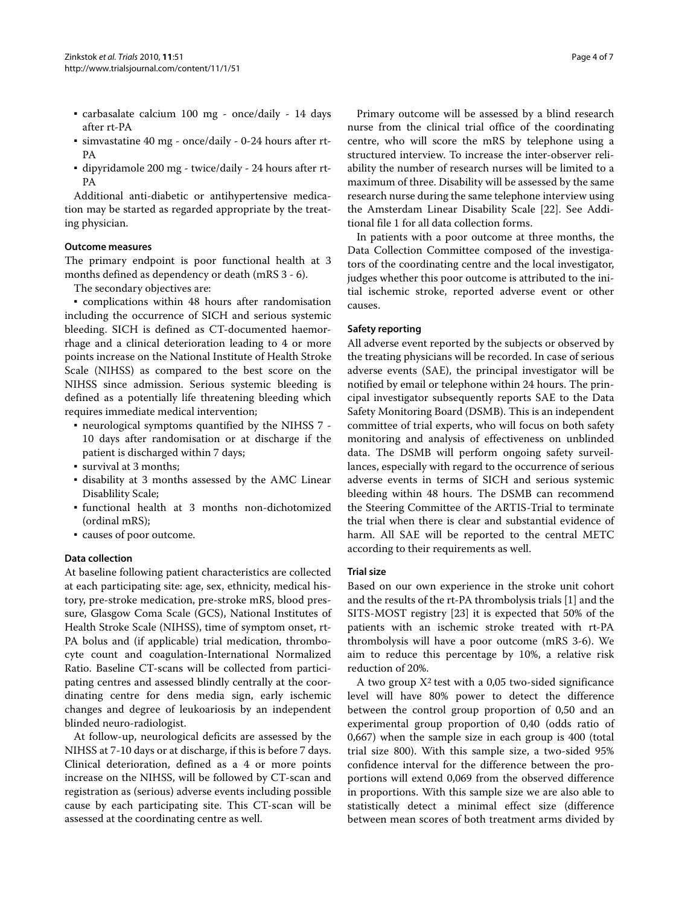- carbasalate calcium 100 mg once/daily 14 days after rt-PA
- simvastatine 40 mg once/daily 0-24 hours after rt-PA
- dipyridamole 200 mg twice/daily 24 hours after rt-PA

Additional anti-diabetic or antihypertensive medication may be started as regarded appropriate by the treating physician.

#### **Outcome measures**

The primary endpoint is poor functional health at 3 months defined as dependency or death (mRS 3 - 6).

The secondary objectives are:

▪ complications within 48 hours after randomisation including the occurrence of SICH and serious systemic bleeding. SICH is defined as CT-documented haemorrhage and a clinical deterioration leading to 4 or more points increase on the National Institute of Health Stroke Scale (NIHSS) as compared to the best score on the NIHSS since admission. Serious systemic bleeding is defined as a potentially life threatening bleeding which requires immediate medical intervention;

- neurological symptoms quantified by the NIHSS 7 10 days after randomisation or at discharge if the patient is discharged within 7 days;
- survival at 3 months;
- disability at 3 months assessed by the AMC Linear Disablility Scale;
- functional health at 3 months non-dichotomized (ordinal mRS);
- causes of poor outcome.

# **Data collection**

At baseline following patient characteristics are collected at each participating site: age, sex, ethnicity, medical history, pre-stroke medication, pre-stroke mRS, blood pressure, Glasgow Coma Scale (GCS), National Institutes of Health Stroke Scale (NIHSS), time of symptom onset, rt-PA bolus and (if applicable) trial medication, thrombocyte count and coagulation-International Normalized Ratio. Baseline CT-scans will be collected from participating centres and assessed blindly centrally at the coordinating centre for dens media sign, early ischemic changes and degree of leukoariosis by an independent blinded neuro-radiologist.

At follow-up, neurological deficits are assessed by the NIHSS at 7-10 days or at discharge, if this is before 7 days. Clinical deterioration, defined as a 4 or more points increase on the NIHSS, will be followed by CT-scan and registration as (serious) adverse events including possible cause by each participating site. This CT-scan will be assessed at the coordinating centre as well.

Primary outcome will be assessed by a blind research nurse from the clinical trial office of the coordinating centre, who will score the mRS by telephone using a structured interview. To increase the inter-observer reliability the number of research nurses will be limited to a maximum of three. Disability will be assessed by the same research nurse during the same telephone interview using the Amsterdam Linear Disability Scale [[22\]](#page-6-21). See Additional file [1](#page-5-0) for all data collection forms.

In patients with a poor outcome at three months, the Data Collection Committee composed of the investigators of the coordinating centre and the local investigator, judges whether this poor outcome is attributed to the initial ischemic stroke, reported adverse event or other causes.

#### **Safety reporting**

All adverse event reported by the subjects or observed by the treating physicians will be recorded. In case of serious adverse events (SAE), the principal investigator will be notified by email or telephone within 24 hours. The principal investigator subsequently reports SAE to the Data Safety Monitoring Board (DSMB). This is an independent committee of trial experts, who will focus on both safety monitoring and analysis of effectiveness on unblinded data. The DSMB will perform ongoing safety surveillances, especially with regard to the occurrence of serious adverse events in terms of SICH and serious systemic bleeding within 48 hours. The DSMB can recommend the Steering Committee of the ARTIS-Trial to terminate the trial when there is clear and substantial evidence of harm. All SAE will be reported to the central METC according to their requirements as well.

#### **Trial size**

Based on our own experience in the stroke unit cohort and the results of the rt-PA thrombolysis trials [[1\]](#page-6-0) and the SITS-MOST registry [\[23](#page-6-22)] it is expected that 50% of the patients with an ischemic stroke treated with rt-PA thrombolysis will have a poor outcome (mRS 3-6). We aim to reduce this percentage by 10%, a relative risk reduction of 20%.

A two group  $X^2$  test with a 0,05 two-sided significance level will have 80% power to detect the difference between the control group proportion of 0,50 and an experimental group proportion of 0,40 (odds ratio of 0,667) when the sample size in each group is 400 (total trial size 800). With this sample size, a two-sided 95% confidence interval for the difference between the proportions will extend 0,069 from the observed difference in proportions. With this sample size we are also able to statistically detect a minimal effect size (difference between mean scores of both treatment arms divided by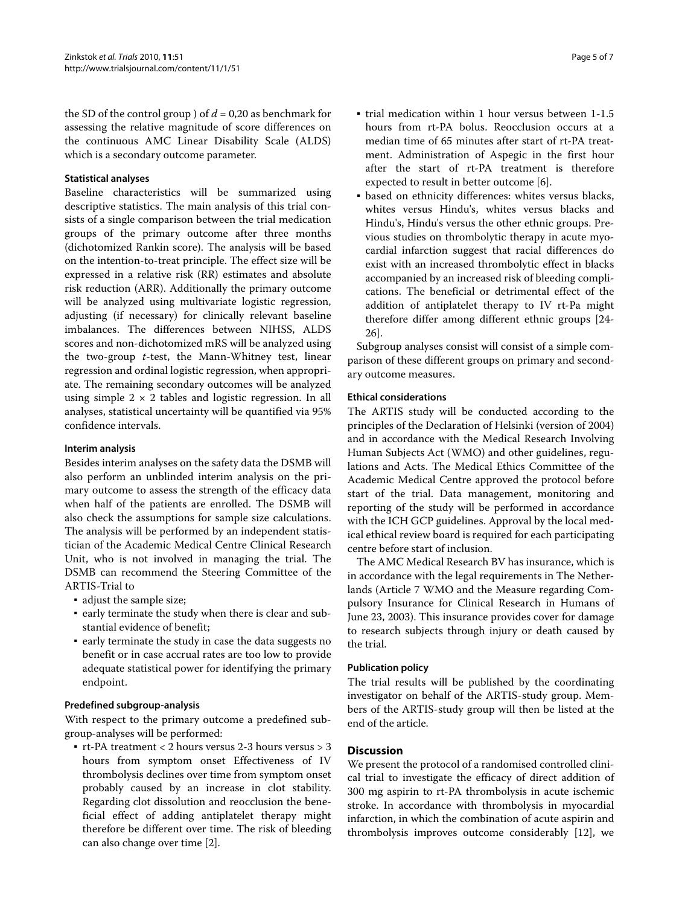the SD of the control group ) of *d* = 0,20 as benchmark for assessing the relative magnitude of score differences on the continuous AMC Linear Disability Scale (ALDS) which is a secondary outcome parameter.

# **Statistical analyses**

Baseline characteristics will be summarized using descriptive statistics. The main analysis of this trial consists of a single comparison between the trial medication groups of the primary outcome after three months (dichotomized Rankin score). The analysis will be based on the intention-to-treat principle. The effect size will be expressed in a relative risk (RR) estimates and absolute risk reduction (ARR). Additionally the primary outcome will be analyzed using multivariate logistic regression, adjusting (if necessary) for clinically relevant baseline imbalances. The differences between NIHSS, ALDS scores and non-dichotomized mRS will be analyzed using the two-group *t*-test, the Mann-Whitney test, linear regression and ordinal logistic regression, when appropriate. The remaining secondary outcomes will be analyzed using simple  $2 \times 2$  tables and logistic regression. In all analyses, statistical uncertainty will be quantified via 95% confidence intervals.

#### **Interim analysis**

Besides interim analyses on the safety data the DSMB will also perform an unblinded interim analysis on the primary outcome to assess the strength of the efficacy data when half of the patients are enrolled. The DSMB will also check the assumptions for sample size calculations. The analysis will be performed by an independent statistician of the Academic Medical Centre Clinical Research Unit, who is not involved in managing the trial. The DSMB can recommend the Steering Committee of the ARTIS-Trial to

- adjust the sample size;
- early terminate the study when there is clear and substantial evidence of benefit;
- early terminate the study in case the data suggests no benefit or in case accrual rates are too low to provide adequate statistical power for identifying the primary endpoint.

# **Predefined subgroup-analysis**

With respect to the primary outcome a predefined subgroup-analyses will be performed:

▪ rt-PA treatment < 2 hours versus 2-3 hours versus > 3 hours from symptom onset Effectiveness of IV thrombolysis declines over time from symptom onset probably caused by an increase in clot stability. Regarding clot dissolution and reocclusion the beneficial effect of adding antiplatelet therapy might therefore be different over time. The risk of bleeding can also change over time [[2\]](#page-6-1).

- trial medication within 1 hour versus between 1-1.5 hours from rt-PA bolus. Reocclusion occurs at a median time of 65 minutes after start of rt-PA treatment. Administration of Aspegic in the first hour after the start of rt-PA treatment is therefore expected to result in better outcome [[6\]](#page-6-5).
- based on ethnicity differences: whites versus blacks, whites versus Hindu's, whites versus blacks and Hindu's, Hindu's versus the other ethnic groups. Previous studies on thrombolytic therapy in acute myocardial infarction suggest that racial differences do exist with an increased thrombolytic effect in blacks accompanied by an increased risk of bleeding complications. The beneficial or detrimental effect of the addition of antiplatelet therapy to IV rt-Pa might therefore differ among different ethnic groups [\[24](#page-6-23)- [26](#page-6-24)].

Subgroup analyses consist will consist of a simple comparison of these different groups on primary and secondary outcome measures.

# **Ethical considerations**

The ARTIS study will be conducted according to the principles of the Declaration of Helsinki (version of 2004) and in accordance with the Medical Research Involving Human Subjects Act (WMO) and other guidelines, regulations and Acts. The Medical Ethics Committee of the Academic Medical Centre approved the protocol before start of the trial. Data management, monitoring and reporting of the study will be performed in accordance with the ICH GCP guidelines. Approval by the local medical ethical review board is required for each participating centre before start of inclusion.

The AMC Medical Research BV has insurance, which is in accordance with the legal requirements in The Netherlands (Article 7 WMO and the Measure regarding Compulsory Insurance for Clinical Research in Humans of June 23, 2003). This insurance provides cover for damage to research subjects through injury or death caused by the trial.

#### **Publication policy**

The trial results will be published by the coordinating investigator on behalf of the ARTIS-study group. Members of the ARTIS-study group will then be listed at the end of the article.

# **Discussion**

We present the protocol of a randomised controlled clinical trial to investigate the efficacy of direct addition of 300 mg aspirin to rt-PA thrombolysis in acute ischemic stroke. In accordance with thrombolysis in myocardial infarction, in which the combination of acute aspirin and thrombolysis improves outcome considerably [[12\]](#page-6-11), we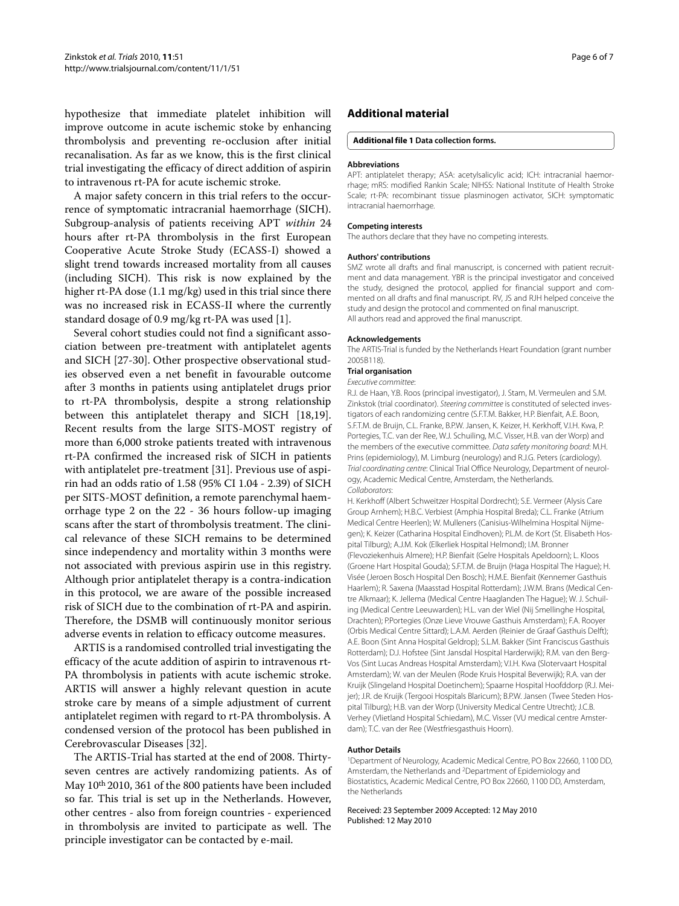hypothesize that immediate platelet inhibition will improve outcome in acute ischemic stoke by enhancing thrombolysis and preventing re-occlusion after initial recanalisation. As far as we know, this is the first clinical trial investigating the efficacy of direct addition of aspirin to intravenous rt-PA for acute ischemic stroke.

A major safety concern in this trial refers to the occurrence of symptomatic intracranial haemorrhage (SICH). Subgroup-analysis of patients receiving APT *within* 24 hours after rt-PA thrombolysis in the first European Cooperative Acute Stroke Study (ECASS-I) showed a slight trend towards increased mortality from all causes (including SICH). This risk is now explained by the higher rt-PA dose (1.1 mg/kg) used in this trial since there was no increased risk in ECASS-II where the currently standard dosage of 0.9 mg/kg rt-PA was used [\[1\]](#page-6-0).

Several cohort studies could not find a significant association between pre-treatment with antiplatelet agents and SICH [\[27](#page-6-25)[-30](#page-6-26)]. Other prospective observational studies observed even a net benefit in favourable outcome after 3 months in patients using antiplatelet drugs prior to rt-PA thrombolysis, despite a strong relationship between this antiplatelet therapy and SICH [\[18](#page-6-17)[,19](#page-6-18)]. Recent results from the large SITS-MOST registry of more than 6,000 stroke patients treated with intravenous rt-PA confirmed the increased risk of SICH in patients with antiplatelet pre-treatment [[31](#page-6-27)]. Previous use of aspirin had an odds ratio of 1.58 (95% CI 1.04 - 2.39) of SICH per SITS-MOST definition, a remote parenchymal haemorrhage type 2 on the 22 - 36 hours follow-up imaging scans after the start of thrombolysis treatment. The clinical relevance of these SICH remains to be determined since independency and mortality within 3 months were not associated with previous aspirin use in this registry. Although prior antiplatelet therapy is a contra-indication in this protocol, we are aware of the possible increased risk of SICH due to the combination of rt-PA and aspirin. Therefore, the DSMB will continuously monitor serious adverse events in relation to efficacy outcome measures.

ARTIS is a randomised controlled trial investigating the efficacy of the acute addition of aspirin to intravenous rt-PA thrombolysis in patients with acute ischemic stroke. ARTIS will answer a highly relevant question in acute stroke care by means of a simple adjustment of current antiplatelet regimen with regard to rt-PA thrombolysis. A condensed version of the protocol has been published in Cerebrovascular Diseases [\[32](#page-6-28)].

The ARTIS-Trial has started at the end of 2008. Thirtyseven centres are actively randomizing patients. As of May 10th 2010, 361 of the 800 patients have been included so far. This trial is set up in the Netherlands. However, other centres - also from foreign countries - experienced in thrombolysis are invited to participate as well. The principle investigator can be contacted by e-mail.

#### **Additional material**

<span id="page-5-0"></span>**[Additional file 1](http://www.biomedcentral.com/content/supplementary/1745-6215-11-51-S1.PDF) Data collection forms.**

#### **Abbreviations**

APT: antiplatelet therapy; ASA: acetylsalicylic acid; ICH: intracranial haemorrhage; mRS: modified Rankin Scale; NIHSS: National Institute of Health Stroke Scale; rt-PA: recombinant tissue plasminogen activator, SICH: symptomatic intracranial haemorrhage.

#### **Competing interests**

The authors declare that they have no competing interests.

#### **Authors' contributions**

SMZ wrote all drafts and final manuscript, is concerned with patient recruitment and data management. YBR is the principal investigator and conceived the study, designed the protocol, applied for financial support and commented on all drafts and final manuscript. RV, JS and RJH helped conceive the study and design the protocol and commented on final manuscript. All authors read and approved the final manuscript.

#### **Acknowledgements**

The ARTIS-Trial is funded by the Netherlands Heart Foundation (grant number 2005B118).

#### **Trial organisation**

Executive committee:

R.J. de Haan, Y.B. Roos (principal investigator), J. Stam, M. Vermeulen and S.M. Zinkstok (trial coordinator). Steering committee is constituted of selected investigators of each randomizing centre (S.F.T.M. Bakker, H.P. Bienfait, A.E. Boon, S.F.T.M. de Bruijn, C.L. Franke, B.P.W. Jansen, K. Keizer, H. Kerkhoff, V.I.H. Kwa, P. Portegies, T.C. van der Ree, W.J. Schuiling, M.C. Visser, H.B. van der Worp) and the members of the executive committee. Data safety monitoring board: M.H. Prins (epidemiology), M. Limburg (neurology) and R.J.G. Peters (cardiology). Trial coordinating centre: Clinical Trial Office Neurology, Department of neurology, Academic Medical Centre, Amsterdam, the Netherlands. Collaborators:

H. Kerkhoff (Albert Schweitzer Hospital Dordrecht); S.E. Vermeer (Alysis Care Group Arnhem); H.B.C. Verbiest (Amphia Hospital Breda); C.L. Franke (Atrium Medical Centre Heerlen); W. Mulleners (Canisius-Wilhelmina Hospital Nijmegen); K. Keizer (Catharina Hospital Eindhoven); P.L.M. de Kort (St. Elisabeth Hospital Tilburg); A.J.M. Kok (Elkerliek Hospital Helmond); I.M. Bronner (Flevoziekenhuis Almere); H.P. Bienfait (Gelre Hospitals Apeldoorn); L. Kloos (Groene Hart Hospital Gouda); S.F.T.M. de Bruijn (Haga Hospital The Hague); H. Visée (Jeroen Bosch Hospital Den Bosch); H.M.E. Bienfait (Kennemer Gasthuis Haarlem); R. Saxena (Maasstad Hospital Rotterdam); J.W.M. Brans (Medical Centre Alkmaar); K. Jellema (Medical Centre Haaglanden The Hague); W. J. Schuiling (Medical Centre Leeuwarden); H.L. van der Wiel (Nij Smellinghe Hospital, Drachten); P.Portegies (Onze Lieve Vrouwe Gasthuis Amsterdam); F.A. Rooyer (Orbis Medical Centre Sittard); L.A.M. Aerden (Reinier de Graaf Gasthuis Delft); A.E. Boon (Sint Anna Hospital Geldrop); S.L.M. Bakker (Sint Franciscus Gasthuis Rotterdam); D.J. Hofstee (Sint Jansdal Hospital Harderwijk); R.M. van den Berg-Vos (Sint Lucas Andreas Hospital Amsterdam); V.I.H. Kwa (Slotervaart Hospital Amsterdam); W. van der Meulen (Rode Kruis Hospital Beverwijk); R.A. van der Kruijk (Slingeland Hospital Doetinchem); Spaarne Hospital Hoofddorp (R.J. Meijer); J.R. de Kruijk (Tergooi Hospitals Blaricum); B.P.W. Jansen (Twee Steden Hospital Tilburg); H.B. van der Worp (University Medical Centre Utrecht); J.C.B. Verhey (Vlietland Hospital Schiedam), M.C. Visser (VU medical centre Amsterdam); T.C. van der Ree (Westfriesgasthuis Hoorn).

#### **Author Details**

1Department of Neurology, Academic Medical Centre, PO Box 22660, 1100 DD, Amsterdam, the Netherlands and 2Department of Epidemiology and Biostatistics, Academic Medical Centre, PO Box 22660, 1100 DD, Amsterdam, the Netherlands

Received: 23 September 2009 Accepted: 12 May 2010 Published: 12 May 2010